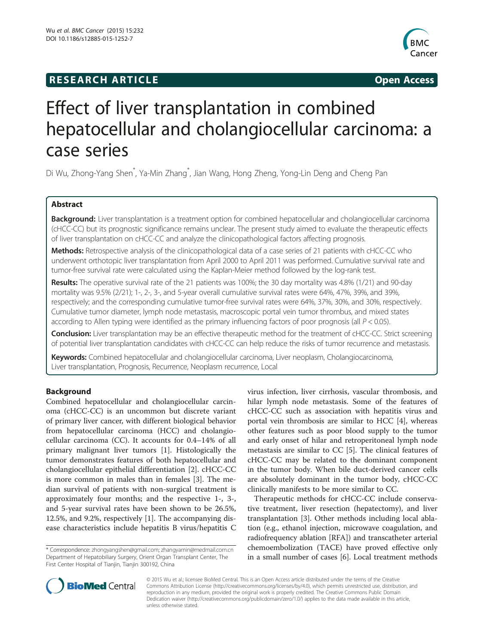## **RESEARCH ARTICLE Example 2014 The SEAR CH ACCESS**



# Effect of liver transplantation in combined hepatocellular and cholangiocellular carcinoma: a case series

Di Wu, Zhong-Yang Shen\* , Ya-Min Zhang\* , Jian Wang, Hong Zheng, Yong-Lin Deng and Cheng Pan

### Abstract

Background: Liver transplantation is a treatment option for combined hepatocellular and cholangiocellular carcinoma (cHCC-CC) but its prognostic significance remains unclear. The present study aimed to evaluate the therapeutic effects of liver transplantation on cHCC-CC and analyze the clinicopathological factors affecting prognosis.

Methods: Retrospective analysis of the clinicopathological data of a case series of 21 patients with cHCC-CC who underwent orthotopic liver transplantation from April 2000 to April 2011 was performed. Cumulative survival rate and tumor-free survival rate were calculated using the Kaplan-Meier method followed by the log-rank test.

Results: The operative survival rate of the 21 patients was 100%; the 30 day mortality was 4.8% (1/21) and 90-day mortality was 9.5% (2/21); 1-, 2-, 3-, and 5-year overall cumulative survival rates were 64%, 47%, 39%, and 39%, respectively; and the corresponding cumulative tumor-free survival rates were 64%, 37%, 30%, and 30%, respectively. Cumulative tumor diameter, lymph node metastasis, macroscopic portal vein tumor thrombus, and mixed states according to Allen typing were identified as the primary influencing factors of poor prognosis (all P < 0.05).

Conclusion: Liver transplantation may be an effective therapeutic method for the treatment of cHCC-CC. Strict screening of potential liver transplantation candidates with cHCC-CC can help reduce the risks of tumor recurrence and metastasis.

Keywords: Combined hepatocellular and cholangiocellular carcinoma, Liver neoplasm, Cholangiocarcinoma, Liver transplantation, Prognosis, Recurrence, Neoplasm recurrence, Local

#### Background

Combined hepatocellular and cholangiocellular carcinoma (cHCC-CC) is an uncommon but discrete variant of primary liver cancer, with different biological behavior from hepatocellular carcinoma (HCC) and cholangiocellular carcinoma (CC). It accounts for 0.4–14% of all primary malignant liver tumors [\[1](#page-5-0)]. Histologically the tumor demonstrates features of both hepatocellular and cholangiocellular epithelial differentiation [[2\]](#page-5-0). cHCC-CC is more common in males than in females [[3\]](#page-5-0). The median survival of patients with non-surgical treatment is approximately four months; and the respective 1-, 3-, and 5-year survival rates have been shown to be 26.5%, 12.5%, and 9.2%, respectively [\[1](#page-5-0)]. The accompanying disease characteristics include hepatitis B virus/hepatitis C

\* Correspondence: [zhongyangshen@gmail.com](mailto:zhongyangshen@gmail.com); [zhangyamin@medmail.com.cn](mailto:zhangyamin@medmail.com.cn) Department of Hepatobiliary Surgery, Orient Organ Transplant Center, The First Center Hospital of Tianjin, Tianjin 300192, China

virus infection, liver cirrhosis, vascular thrombosis, and hilar lymph node metastasis. Some of the features of cHCC-CC such as association with hepatitis virus and portal vein thrombosis are similar to HCC [\[4](#page-5-0)], whereas other features such as poor blood supply to the tumor and early onset of hilar and retroperitoneal lymph node metastasis are similar to CC [\[5](#page-5-0)]. The clinical features of cHCC-CC may be related to the dominant component in the tumor body. When bile duct-derived cancer cells are absolutely dominant in the tumor body, cHCC-CC clinically manifests to be more similar to CC.

Therapeutic methods for cHCC-CC include conservative treatment, liver resection (hepatectomy), and liver transplantation [\[3](#page-5-0)]. Other methods including local ablation (e.g., ethanol injection, microwave coagulation, and radiofrequency ablation [RFA]) and transcatheter arterial chemoembolization (TACE) have proved effective only in a small number of cases [[6\]](#page-5-0). Local treatment methods



© 2015 Wu et al.; licensee BioMed Central. This is an Open Access article distributed under the terms of the Creative Commons Attribution License [\(http://creativecommons.org/licenses/by/4.0\)](http://creativecommons.org/licenses/by/4.0), which permits unrestricted use, distribution, and reproduction in any medium, provided the original work is properly credited. The Creative Commons Public Domain Dedication waiver [\(http://creativecommons.org/publicdomain/zero/1.0/](http://creativecommons.org/publicdomain/zero/1.0/)) applies to the data made available in this article, unless otherwise stated.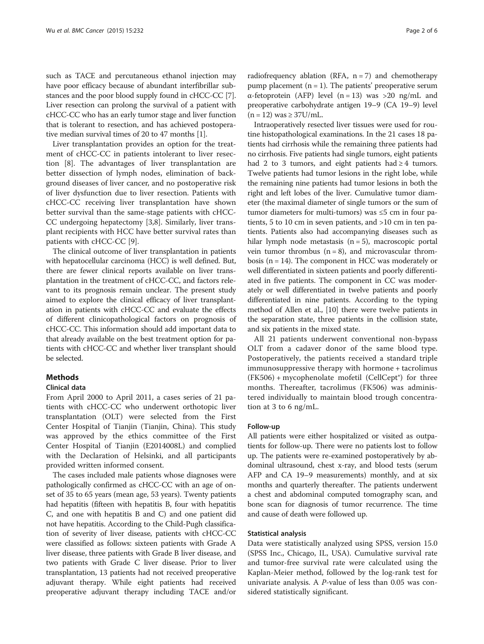such as TACE and percutaneous ethanol injection may have poor efficacy because of abundant interfibrillar substances and the poor blood supply found in cHCC-CC [[7](#page-5-0)]. Liver resection can prolong the survival of a patient with cHCC-CC who has an early tumor stage and liver function that is tolerant to resection, and has achieved postoperative median survival times of 20 to 47 months [\[1](#page-5-0)].

Liver transplantation provides an option for the treatment of cHCC-CC in patients intolerant to liver resection [\[8](#page-5-0)]. The advantages of liver transplantation are better dissection of lymph nodes, elimination of background diseases of liver cancer, and no postoperative risk of liver dysfunction due to liver resection. Patients with cHCC-CC receiving liver transplantation have shown better survival than the same-stage patients with cHCC-CC undergoing hepatectomy [[3,8\]](#page-5-0). Similarly, liver transplant recipients with HCC have better survival rates than patients with cHCC-CC [[9\]](#page-5-0).

The clinical outcome of liver transplantation in patients with hepatocellular carcinoma (HCC) is well defined. But, there are fewer clinical reports available on liver transplantation in the treatment of cHCC-CC, and factors relevant to its prognosis remain unclear. The present study aimed to explore the clinical efficacy of liver transplantation in patients with cHCC-CC and evaluate the effects of different clinicopathological factors on prognosis of cHCC-CC. This information should add important data to that already available on the best treatment option for patients with cHCC-CC and whether liver transplant should be selected.

#### Methods

#### Clinical data

From April 2000 to April 2011, a cases series of 21 patients with cHCC-CC who underwent orthotopic liver transplantation (OLT) were selected from the First Center Hospital of Tianjin (Tianjin, China). This study was approved by the ethics committee of the First Center Hospital of Tianjin (E2014008L) and complied with the Declaration of Helsinki, and all participants provided written informed consent.

The cases included male patients whose diagnoses were pathologically confirmed as cHCC-CC with an age of onset of 35 to 65 years (mean age, 53 years). Twenty patients had hepatitis (fifteen with hepatitis B, four with hepatitis C, and one with hepatitis B and C) and one patient did not have hepatitis. According to the Child-Pugh classification of severity of liver disease, patients with cHCC-CC were classified as follows: sixteen patients with Grade A liver disease, three patients with Grade B liver disease, and two patients with Grade C liver disease. Prior to liver transplantation, 13 patients had not received preoperative adjuvant therapy. While eight patients had received preoperative adjuvant therapy including TACE and/or

radiofrequency ablation (RFA,  $n = 7$ ) and chemotherapy pump placement  $(n = 1)$ . The patients' preoperative serum α-fetoprotein (AFP) level (n = 13) was >20 ng/mL and preoperative carbohydrate antigen 19–9 (CA 19–9) level  $(n = 12)$  was  $\geq$  37U/mL.

Intraoperatively resected liver tissues were used for routine histopathological examinations. In the 21 cases 18 patients had cirrhosis while the remaining three patients had no cirrhosis. Five patients had single tumors, eight patients had 2 to 3 tumors, and eight patients had  $\geq$  4 tumors. Twelve patients had tumor lesions in the right lobe, while the remaining nine patients had tumor lesions in both the right and left lobes of the liver. Cumulative tumor diameter (the maximal diameter of single tumors or the sum of tumor diameters for multi-tumors) was ≤5 cm in four patients, 5 to 10 cm in seven patients, and >10 cm in ten patients. Patients also had accompanying diseases such as hilar lymph node metastasis  $(n = 5)$ , macroscopic portal vein tumor thrombus  $(n = 8)$ , and microvascular thrombosis (n = 14). The component in HCC was moderately or well differentiated in sixteen patients and poorly differentiated in five patients. The component in CC was moderately or well differentiated in twelve patients and poorly differentiated in nine patients. According to the typing method of Allen et al., [\[10\]](#page-5-0) there were twelve patients in the separation state, three patients in the collision state, and six patients in the mixed state.

All 21 patients underwent conventional non-bypass OLT from a cadaver donor of the same blood type. Postoperatively, the patients received a standard triple immunosuppressive therapy with hormone + tacrolimus  $(FK506)$  + mycophenolate mofetil  $(CellCept<sup>e</sup>)$  for three months. Thereafter, tacrolimus (FK506) was administered individually to maintain blood trough concentration at 3 to 6 ng/mL.

#### Follow-up

All patients were either hospitalized or visited as outpatients for follow-up. There were no patients lost to follow up. The patients were re-examined postoperatively by abdominal ultrasound, chest x-ray, and blood tests (serum AFP and CA 19–9 measurements) monthly, and at six months and quarterly thereafter. The patients underwent a chest and abdominal computed tomography scan, and bone scan for diagnosis of tumor recurrence. The time and cause of death were followed up.

#### Statistical analysis

Data were statistically analyzed using SPSS, version 15.0 (SPSS Inc., Chicago, IL, USA). Cumulative survival rate and tumor-free survival rate were calculated using the Kaplan-Meier method, followed by the log-rank test for univariate analysis. A P-value of less than 0.05 was considered statistically significant.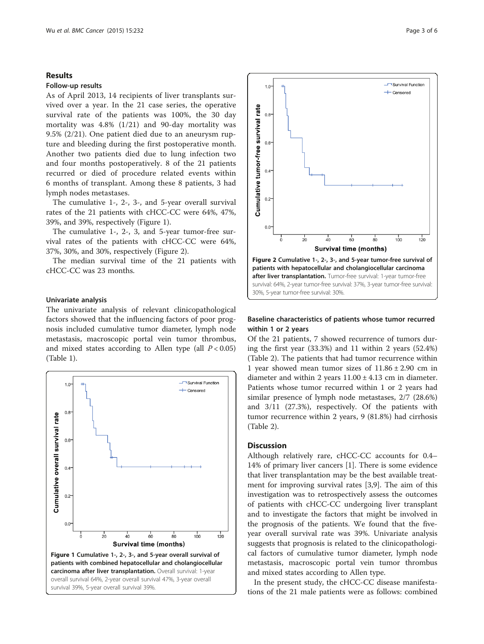#### Results

#### Follow-up results

As of April 2013, 14 recipients of liver transplants survived over a year. In the 21 case series, the operative survival rate of the patients was 100%, the 30 day mortality was 4.8% (1/21) and 90-day mortality was 9.5% (2/21). One patient died due to an aneurysm rupture and bleeding during the first postoperative month. Another two patients died due to lung infection two and four months postoperatively. 8 of the 21 patients recurred or died of procedure related events within 6 months of transplant. Among these 8 patients, 3 had lymph nodes metastases.

The cumulative 1-, 2-, 3-, and 5-year overall survival rates of the 21 patients with cHCC-CC were 64%, 47%, 39%, and 39%, respectively (Figure 1).

The cumulative 1-, 2-, 3, and 5-year tumor-free survival rates of the patients with cHCC-CC were 64%, 37%, 30%, and 30%, respectively (Figure 2).

The median survival time of the 21 patients with cHCC-CC was 23 months.

#### Univariate analysis

The univariate analysis of relevant clinicopathological factors showed that the influencing factors of poor prognosis included cumulative tumor diameter, lymph node metastasis, macroscopic portal vein tumor thrombus, and mixed states according to Allen type (all  $P < 0.05$ ) (Table [1\)](#page-3-0).





#### Baseline characteristics of patients whose tumor recurred within 1 or 2 years

Of the 21 patients, 7 showed recurrence of tumors during the first year (33.3%) and 11 within 2 years (52.4%) (Table [2\)](#page-4-0). The patients that had tumor recurrence within 1 year showed mean tumor sizes of  $11.86 \pm 2.90$  cm in diameter and within 2 years  $11.00 \pm 4.13$  cm in diameter. Patients whose tumor recurred within 1 or 2 years had similar presence of lymph node metastases, 2/7 (28.6%) and 3/11 (27.3%), respectively. Of the patients with tumor recurrence within 2 years, 9 (81.8%) had cirrhosis (Table [2\)](#page-4-0).

#### **Discussion**

Although relatively rare, cHCC-CC accounts for 0.4– 14% of primary liver cancers [\[1](#page-5-0)]. There is some evidence that liver transplantation may be the best available treatment for improving survival rates [\[3,9](#page-5-0)]. The aim of this investigation was to retrospectively assess the outcomes of patients with cHCC-CC undergoing liver transplant and to investigate the factors that might be involved in the prognosis of the patients. We found that the fiveyear overall survival rate was 39%. Univariate analysis suggests that prognosis is related to the clinicopathological factors of cumulative tumor diameter, lymph node metastasis, macroscopic portal vein tumor thrombus and mixed states according to Allen type.

In the present study, the cHCC-CC disease manifestations of the 21 male patients were as follows: combined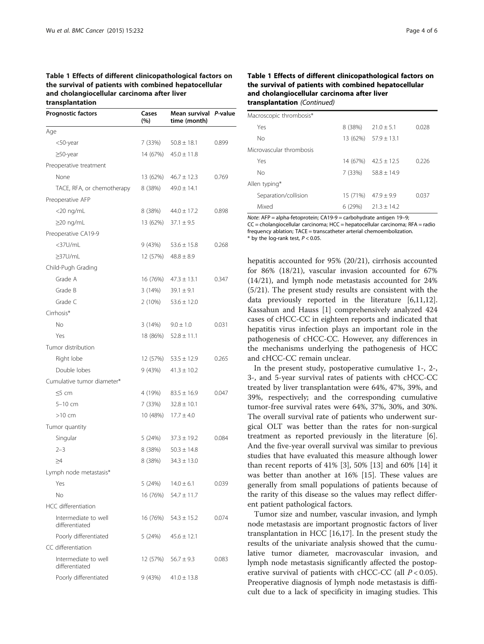#### <span id="page-3-0"></span>Table 1 Effects of different clinicopathological factors on the survival of patients with combined hepatocellular and cholangiocellular carcinoma after liver transplantation

| <b>Prognostic factors</b>              | Cases<br>(%) | Mean survival<br>time (month) | P-value |  |
|----------------------------------------|--------------|-------------------------------|---------|--|
| Age                                    |              |                               |         |  |
| <50-year                               | 7 (33%)      | $50.8 \pm 18.1$               | 0.899   |  |
| $\geq$ 50-year                         | 14 (67%)     | $45.0 \pm 11.8$               |         |  |
| Preoperative treatment                 |              |                               |         |  |
| None                                   | 13 (62%)     | $46.7 \pm 12.3$               | 0.769   |  |
| TACE, RFA, or chemotherapy             | 8 (38%)      | $49.0 \pm 14.1$               |         |  |
| Preoperative AFP                       |              |                               |         |  |
| $<$ 20 ng/mL                           | 8 (38%)      | $44.0 \pm 17.2$               | 0.898   |  |
| $\geq$ 20 ng/mL                        | 13 (62%)     | $37.1 \pm 9.5$                |         |  |
| Preoperative CA19-9                    |              |                               |         |  |
| <37U/mL                                | 9 (43%)      | $53.6 \pm 15.8$               | 0.268   |  |
| ≥37U/mL                                | 12 (57%)     | $48.8 \pm 8.9$                |         |  |
| Child-Pugh Grading                     |              |                               |         |  |
| Grade A                                | 16 (76%)     | $47.3 \pm 13.1$               | 0.347   |  |
| Grade B                                | 3 (14%)      | $39.1 \pm 9.1$                |         |  |
| Grade C                                | 2 (10%)      | $53.6 \pm 12.0$               |         |  |
| Cirrhosis*                             |              |                               |         |  |
| No                                     | 3 (14%)      | $9.0 \pm 1.0$                 | 0.031   |  |
| Yes                                    | 18 (86%)     | $52.8 \pm 11.1$               |         |  |
| Tumor distribution                     |              |                               |         |  |
| Right lobe                             | 12 (57%)     | $53.5 \pm 12.9$               | 0.265   |  |
| Double lobes                           | 9 (43%)      | $41.3 \pm 10.2$               |         |  |
| Cumulative tumor diameter*             |              |                               |         |  |
| $\leq$ 5 cm                            | 4 (19%)      | $83.5 \pm 16.9$               | 0.047   |  |
| $5-10$ cm                              | 7 (33%)      | $32.8 \pm 10.1$               |         |  |
| $>10$ cm                               | 10 (48%)     | $17.7 \pm 4.0$                |         |  |
| Tumor quantity                         |              |                               |         |  |
| Singular                               | 5 (24%)      | $37.3 \pm 19.2$               | 0.084   |  |
| $2 - 3$                                | 8 (38%)      | $50.3 \pm 14.8$               |         |  |
| $\geq 4$                               | 8 (38%)      | $34.3 \pm 13.0$               |         |  |
| Lymph node metastasis*                 |              |                               |         |  |
| Yes                                    | 5 (24%)      | $14.0 \pm 6.1$                | 0.039   |  |
| Nο                                     | 16 (76%)     | $54.7 \pm 11.7$               |         |  |
| HCC differentiation                    |              |                               |         |  |
| Intermediate to well<br>differentiated | 16 (76%)     | $54.3 \pm 15.2$               | 0.074   |  |
| Poorly differentiated                  | 5 (24%)      | $45.6 \pm 12.1$               |         |  |
| CC differentiation                     |              |                               |         |  |
| Intermediate to well<br>differentiated | 12 (57%)     | $56.7 \pm 9.3$                | 0.083   |  |
| Poorly differentiated                  | 9 (43%)      | $41.0 \pm 13.8$               |         |  |

#### Table 1 Effects of different clinicopathological factors on the survival of patients with combined hepatocellular and cholangiocellular carcinoma after liver transplantation (Continued)

| Macroscopic thrombosis* |                          |          |                            |       |  |  |  |
|-------------------------|--------------------------|----------|----------------------------|-------|--|--|--|
|                         | Yes                      | 8 (38%)  | $21.0 + 5.1$               | 0.028 |  |  |  |
|                         | No                       |          | $13(62\%)$ $57.9 \pm 13.1$ |       |  |  |  |
|                         | Microvascular thrombosis |          |                            |       |  |  |  |
|                         | Yes                      | 14 (67%) | $42.5 + 12.5$              | 0.226 |  |  |  |
|                         | No                       | 7 (33%)  | $58.8 + 14.9$              |       |  |  |  |
| Allen typing*           |                          |          |                            |       |  |  |  |
|                         | Separation/collision     | 15 (71%) | $47.9 + 9.9$               | 0.037 |  |  |  |
|                         | Mixed                    | 6(29%)   | $21.3 + 14.2$              |       |  |  |  |

Note: AFP = alpha-fetoprotein; CA19-9 = carbohydrate antigen 19–9; CC = cholangiocellular carcinoma; HCC = hepatocellular carcinoma; RFA = radio frequency ablation; TACE = transcatheter arterial chemoembolization. \* by the log-rank test,  $P < 0.05$ .

hepatitis accounted for 95% (20/21), cirrhosis accounted for 86% (18/21), vascular invasion accounted for 67% (14/21), and lymph node metastasis accounted for 24% (5/21). The present study results are consistent with the data previously reported in the literature [\[6,11,12](#page-5-0)]. Kassahun and Hauss [[1\]](#page-5-0) comprehensively analyzed 424 cases of cHCC-CC in eighteen reports and indicated that hepatitis virus infection plays an important role in the pathogenesis of cHCC-CC. However, any differences in the mechanisms underlying the pathogenesis of HCC and cHCC-CC remain unclear.

In the present study, postoperative cumulative 1-, 2-, 3-, and 5-year survival rates of patients with cHCC-CC treated by liver transplantation were 64%, 47%, 39%, and 39%, respectively; and the corresponding cumulative tumor-free survival rates were 64%, 37%, 30%, and 30%. The overall survival rate of patients who underwent surgical OLT was better than the rates for non-surgical treatment as reported previously in the literature [\[6](#page-5-0)]. And the five-year overall survival was similar to previous studies that have evaluated this measure although lower than recent reports of 41% [\[3\]](#page-5-0), 50% [[13\]](#page-5-0) and 60% [[14](#page-5-0)] it was better than another at 16% [\[15\]](#page-5-0). These values are generally from small populations of patients because of the rarity of this disease so the values may reflect different patient pathological factors.

Tumor size and number, vascular invasion, and lymph node metastasis are important prognostic factors of liver transplantation in HCC [\[16,17](#page-5-0)]. In the present study the results of the univariate analysis showed that the cumulative tumor diameter, macrovascular invasion, and lymph node metastasis significantly affected the postoperative survival of patients with cHCC-CC (all  $P < 0.05$ ). Preoperative diagnosis of lymph node metastasis is difficult due to a lack of specificity in imaging studies. This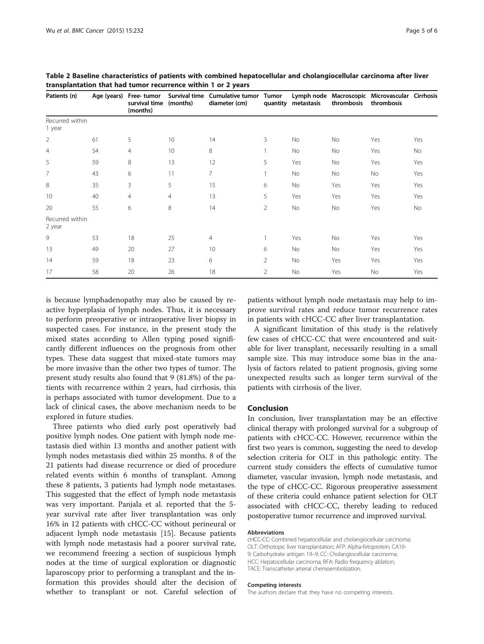| Patients (n)              | Age (years) | Free-tumor<br>survival time<br>(months) | (months)       | Survival time Cumulative tumor<br>diameter (cm) | Tumor<br>quantity | metastasis | thrombosis | Lymph node Macroscopic Microvascular Cirrhosis<br>thrombosis |           |
|---------------------------|-------------|-----------------------------------------|----------------|-------------------------------------------------|-------------------|------------|------------|--------------------------------------------------------------|-----------|
| Recurred within<br>1 year |             |                                         |                |                                                 |                   |            |            |                                                              |           |
| $\overline{2}$            | 61          | 5                                       | 10             | 14                                              | 3                 | No         | No         | Yes                                                          | Yes       |
| $\overline{4}$            | 54          | $\overline{4}$                          | 10             | 8                                               |                   | No         | No         | Yes                                                          | <b>No</b> |
| 5                         | 59          | 8                                       | 13             | 12                                              | 5                 | Yes        | No         | Yes                                                          | Yes       |
| $\overline{7}$            | 43          | 6                                       | 11             | 7                                               |                   | No         | No         | No                                                           | Yes       |
| 8                         | 35          | 3                                       | 5              | 15                                              | 6                 | No         | Yes        | Yes                                                          | Yes       |
| 10                        | 40          | 4                                       | $\overline{4}$ | 13                                              | 5                 | Yes        | Yes        | Yes                                                          | Yes       |
| 20                        | 55          | 6                                       | 8              | 14                                              | 2                 | No         | No         | Yes                                                          | <b>No</b> |
| Recurred within<br>2 year |             |                                         |                |                                                 |                   |            |            |                                                              |           |
| 9                         | 53          | 18                                      | 25             | $\overline{4}$                                  |                   | Yes        | No         | Yes                                                          | Yes       |
| 13                        | 49          | 20                                      | 27             | 10                                              | 6                 | No         | No         | Yes                                                          | Yes       |
| 14                        | 59          | 18                                      | 23             | 6                                               | $\overline{2}$    | No         | Yes        | Yes                                                          | Yes       |
| 17                        | 58          | 20                                      | 26             | 18                                              | $\overline{2}$    | No         | Yes        | No                                                           | Yes       |

<span id="page-4-0"></span>Table 2 Baseline characteristics of patients with combined hepatocellular and cholangiocellular carcinoma after liver transplantation that had tumor recurrence within 1 or 2 years

is because lymphadenopathy may also be caused by reactive hyperplasia of lymph nodes. Thus, it is necessary to perform preoperative or intraoperative liver biopsy in suspected cases. For instance, in the present study the mixed states according to Allen typing posed significantly different influences on the prognosis from other types. These data suggest that mixed-state tumors may be more invasive than the other two types of tumor. The present study results also found that 9 (81.8%) of the patients with recurrence within 2 years, had cirrhosis, this is perhaps associated with tumor development. Due to a lack of clinical cases, the above mechanism needs to be explored in future studies.

Three patients who died early post operatively had positive lymph nodes. One patient with lymph node metastasis died within 13 months and another patient with lymph nodes metastasis died within 25 months. 8 of the 21 patients had disease recurrence or died of procedure related events within 6 months of transplant. Among these 8 patients, 3 patients had lymph node metastases. This suggested that the effect of lymph node metastasis was very important. Panjala et al. reported that the 5 year survival rate after liver transplantation was only 16% in 12 patients with cHCC-CC without perineural or adjacent lymph node metastasis [[15\]](#page-5-0). Because patients with lymph node metastasis had a poorer survival rate, we recommend freezing a section of suspicious lymph nodes at the time of surgical exploration or diagnostic laparoscopy prior to performing a transplant and the information this provides should alter the decision of whether to transplant or not. Careful selection of patients without lymph node metastasis may help to improve survival rates and reduce tumor recurrence rates in patients with cHCC-CC after liver transplantation.

A significant limitation of this study is the relatively few cases of cHCC-CC that were encountered and suitable for liver transplant, necessarily resulting in a small sample size. This may introduce some bias in the analysis of factors related to patient prognosis, giving some unexpected results such as longer term survival of the patients with cirrhosis of the liver.

#### Conclusion

In conclusion, liver transplantation may be an effective clinical therapy with prolonged survival for a subgroup of patients with cHCC-CC. However, recurrence within the first two years is common, suggesting the need to develop selection criteria for OLT in this pathologic entity. The current study considers the effects of cumulative tumor diameter, vascular invasion, lymph node metastasis, and the type of cHCC-CC. Rigorous preoperative assessment of these criteria could enhance patient selection for OLT associated with cHCC-CC, thereby leading to reduced postoperative tumor recurrence and improved survival.

#### Abbreviations

cHCC-CC: Combined hepatocellular and cholangiocellular carcinoma; OLT: Orthotopic liver transplantation; AFP: Alpha-fetoprotein; CA19- 9: Carbohydrate antigen 19–9; CC: Cholangiocellular carcinoma; HCC: Hepatocellular carcinoma; RFA: Radio frequency ablation; TACE: Transcatheter arterial chemoembolization.

#### Competing interests

The authors declare that they have no competing interests.